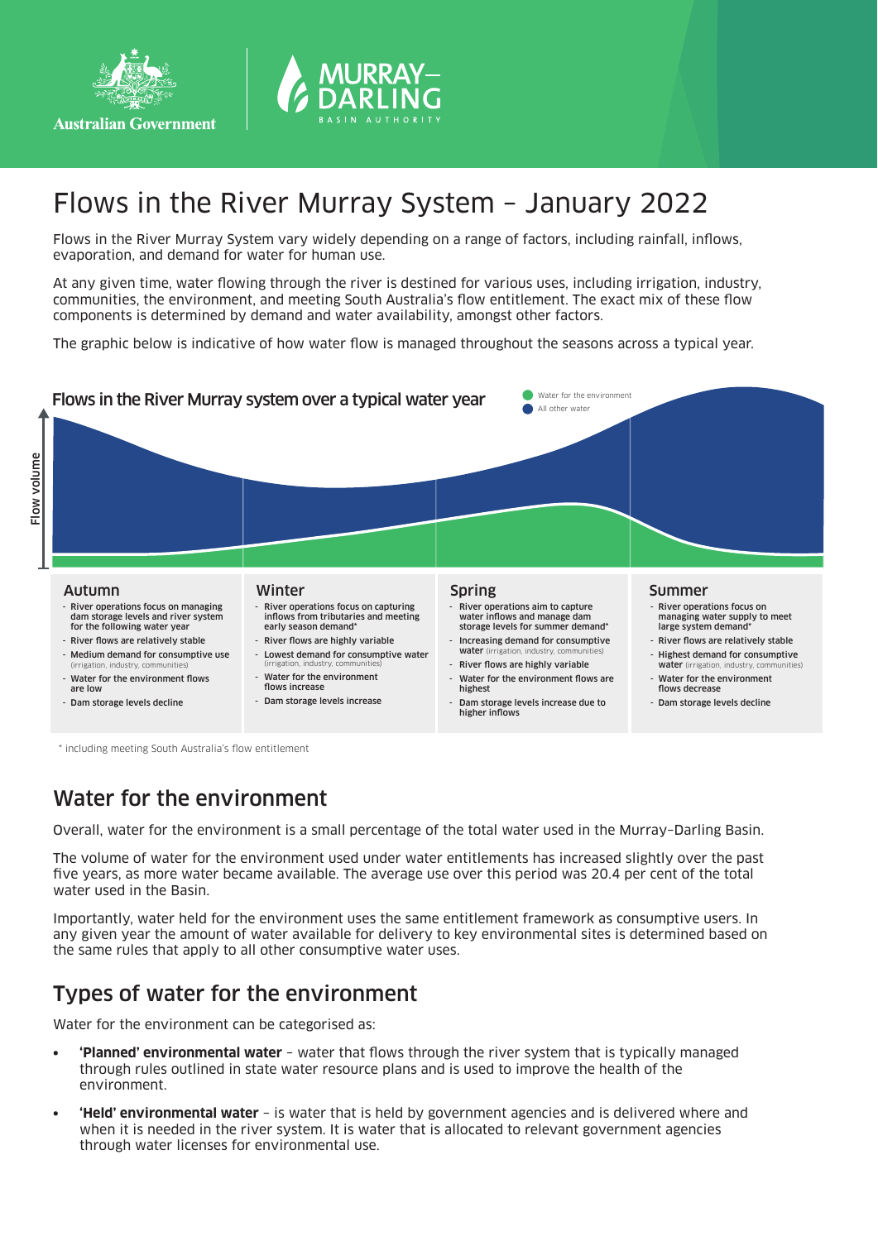



# Flows in the River Murray System – January 2022

Flows in the River Murray System vary widely depending on a range of factors, including rainfall, inflows, evaporation, and demand for water for human use.

At any given time, water flowing through the river is destined for various uses, including irrigation, industry, communities, the environment, and meeting South Australia's flow entitlement. The exact mix of these flow components is determined by demand and water availability, amongst other factors.

The graphic below is indicative of how water flow is managed throughout the seasons across a typical year.



\* including meeting South Australia's flow entitlement

### Water for the environment

Overall, water for the environment is a small percentage of the total water used in the Murray–Darling Basin.

The volume of water for the environment used under water entitlements has increased slightly over the past five years, as more water became available. The average use over this period was 20.4 per cent of the total water used in the Basin.

Importantly, water held for the environment uses the same entitlement framework as consumptive users. In any given year the amount of water available for delivery to key environmental sites is determined based on the same rules that apply to all other consumptive water uses.

### Types of water for the environment

Water for the environment can be categorised as:

- **• 'Planned' environmental water** water that flows through the river system that is typically managed through rules outlined in state water resource plans and is used to improve the health of the environment.
- **• 'Held' environmental water** is water that is held by government agencies and is delivered where and when it is needed in the river system. It is water that is allocated to relevant government agencies through water licenses for environmental use.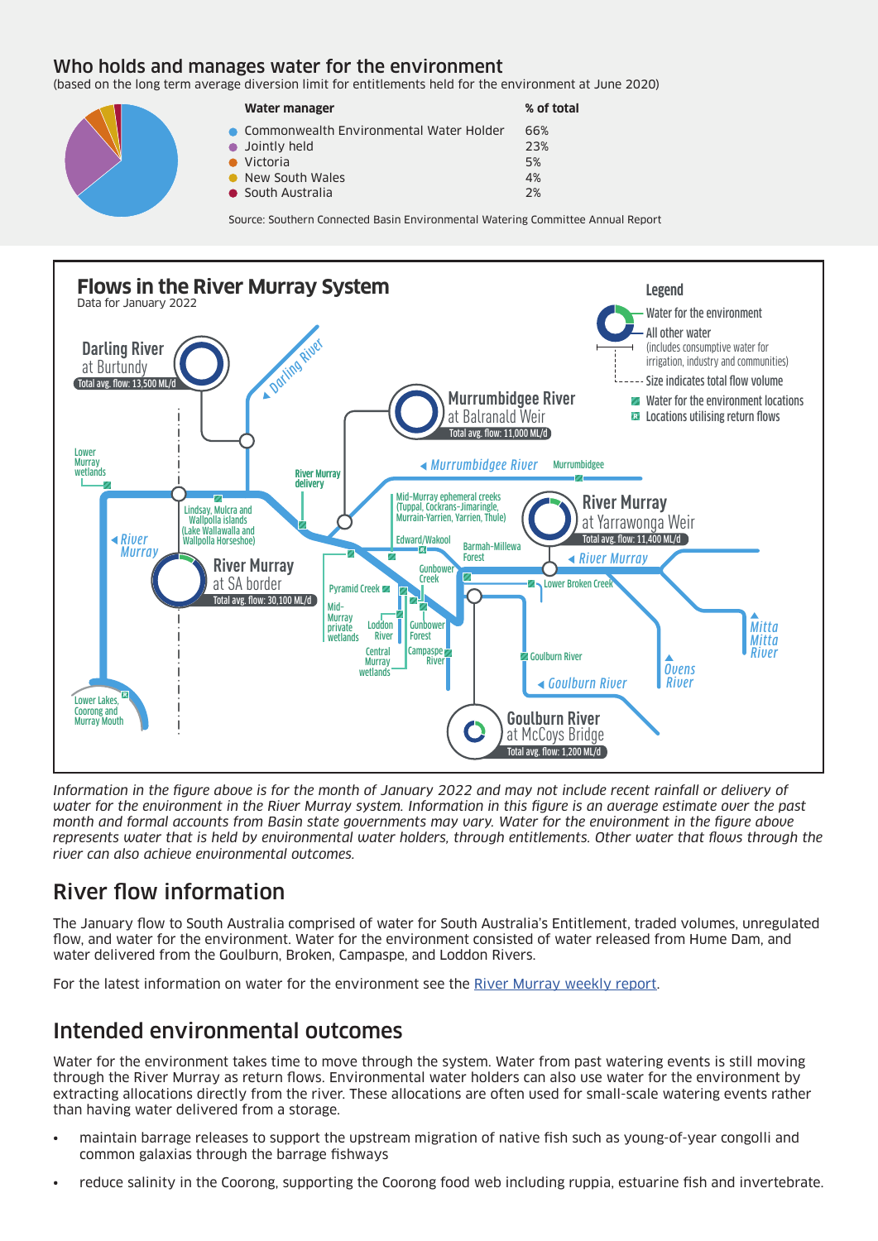#### Who holds and manages water for the environment

(based on the long term average diversion limit for entitlements held for the environment at June 2020)

| Water manager                             | % of total |
|-------------------------------------------|------------|
| • Commonwealth Environmental Water Holder | 66%        |
| $\bullet$ Jointly held                    | 23%        |
| Victoria                                  | 5%         |
| • New South Wales                         | 4%         |
| • South Australia                         | 2%         |

Source: Southern Connected Basin Environmental Watering Committee Annual Report



*Information in the figure above is for the month of January 2022 and may not include recent rainfall or delivery of water for the environment in the River Murray system. Information in this figure is an average estimate over the past month and formal accounts from Basin state governments may vary. Water for the environment in the figure above represents water that is held by environmental water holders, through entitlements. Other water that flows through the river can also achieve environmental outcomes.*

### River flow information

The January flow to South Australia comprised of water for South Australia's Entitlement, traded volumes, unregulated flow, and water for the environment. Water for the environment consisted of water released from Hume Dam, and water delivered from the Goulburn, Broken, Campaspe, and Loddon Rivers.

For the latest information on water for the environment see the River Murray weekly report.

### Intended environmental outcomes

Water for the environment takes time to move through the system. Water from past watering events is still moving through the River Murray as return flows. Environmental water holders can also use water for the environment by extracting allocations directly from the river. These allocations are often used for small-scale watering events rather than having water delivered from a storage.

- maintain barrage releases to support the upstream migration of native fish such as young-of-year congolli and common galaxias through the barrage fishways
- reduce salinity in the Coorong, supporting the Coorong food web including ruppia, estuarine fish and invertebrate.